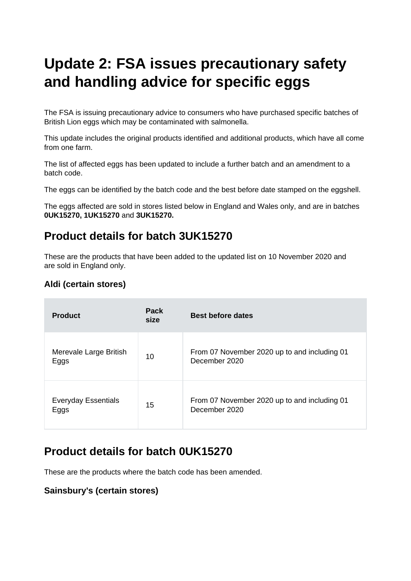# **Update 2: FSA issues precautionary safety and handling advice for specific eggs**

The FSA is issuing precautionary advice to consumers who have purchased specific batches of British Lion eggs which may be contaminated with salmonella.

This update includes the original products identified and additional products, which have all come from one farm.

The list of affected eggs has been updated to include a further batch and an amendment to a batch code.

The eggs can be identified by the batch code and the best before date stamped on the eggshell.

The eggs affected are sold in stores listed below in England and Wales only, and are in batches **0UK15270, 1UK15270** and **3UK15270.**

# **Product details for batch 3UK15270**

These are the products that have been added to the updated list on 10 November 2020 and are sold in England only.

#### **Aldi (certain stores)**

| <b>Product</b>                     | <b>Pack</b><br>size | <b>Best before dates</b>                                      |
|------------------------------------|---------------------|---------------------------------------------------------------|
| Merevale Large British<br>Eggs     | 10                  | From 07 November 2020 up to and including 01<br>December 2020 |
| <b>Everyday Essentials</b><br>Eggs | 15                  | From 07 November 2020 up to and including 01<br>December 2020 |

# **Product details for batch 0UK15270**

These are the products where the batch code has been amended.

#### **Sainsbury's (certain stores)**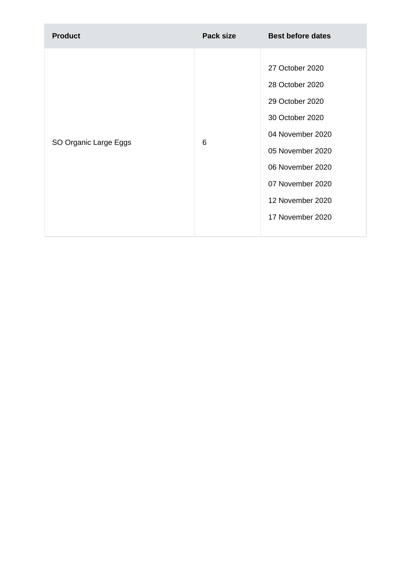| <b>Product</b>        | Pack size       | <b>Best before dates</b>                                                                                                                                                                         |
|-----------------------|-----------------|--------------------------------------------------------------------------------------------------------------------------------------------------------------------------------------------------|
| SO Organic Large Eggs | $6\phantom{1}6$ | 27 October 2020<br>28 October 2020<br>29 October 2020<br>30 October 2020<br>04 November 2020<br>05 November 2020<br>06 November 2020<br>07 November 2020<br>12 November 2020<br>17 November 2020 |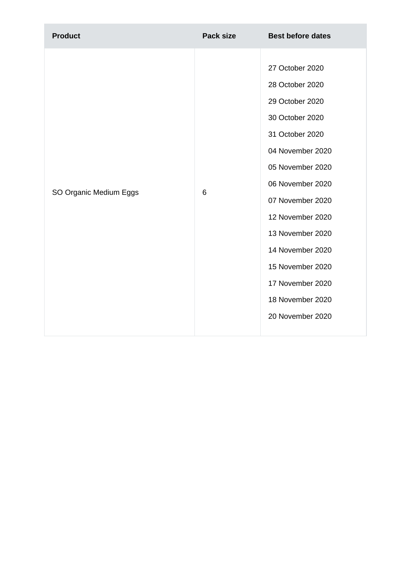| <b>Product</b>         | <b>Pack size</b> | <b>Best before dates</b>                                                                                                                                                                                                                                                                                                |
|------------------------|------------------|-------------------------------------------------------------------------------------------------------------------------------------------------------------------------------------------------------------------------------------------------------------------------------------------------------------------------|
| SO Organic Medium Eggs | 6                | 27 October 2020<br>28 October 2020<br>29 October 2020<br>30 October 2020<br>31 October 2020<br>04 November 2020<br>05 November 2020<br>06 November 2020<br>07 November 2020<br>12 November 2020<br>13 November 2020<br>14 November 2020<br>15 November 2020<br>17 November 2020<br>18 November 2020<br>20 November 2020 |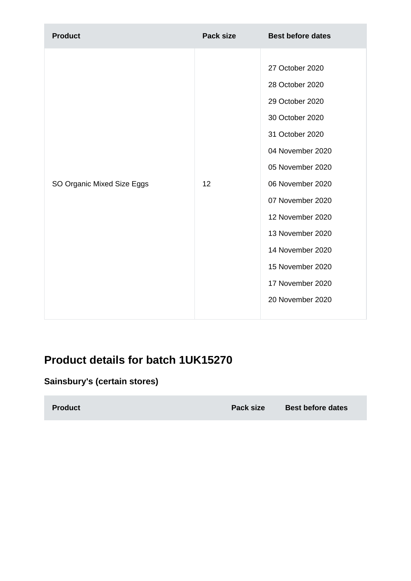| <b>Product</b>             | Pack size | <b>Best before dates</b>                                                                                                                                                                                                                                                                            |
|----------------------------|-----------|-----------------------------------------------------------------------------------------------------------------------------------------------------------------------------------------------------------------------------------------------------------------------------------------------------|
| SO Organic Mixed Size Eggs | 12        | 27 October 2020<br>28 October 2020<br>29 October 2020<br>30 October 2020<br>31 October 2020<br>04 November 2020<br>05 November 2020<br>06 November 2020<br>07 November 2020<br>12 November 2020<br>13 November 2020<br>14 November 2020<br>15 November 2020<br>17 November 2020<br>20 November 2020 |

# **Product details for batch 1UK15270**

# **Sainsbury's (certain stores)**

| <b>Product</b> | Pack size | <b>Best before dates</b> |
|----------------|-----------|--------------------------|
|                |           |                          |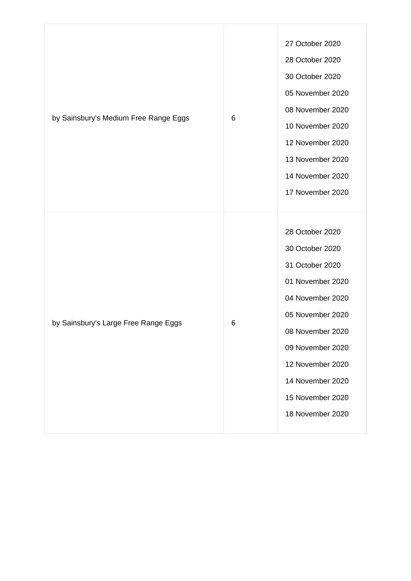| by Sainsbury's Medium Free Range Eggs | 6 | 27 October 2020<br>28 October 2020<br>30 October 2020<br>05 November 2020<br>08 November 2020<br>10 November 2020<br>12 November 2020<br>13 November 2020<br>14 November 2020<br>17 November 2020                                         |
|---------------------------------------|---|-------------------------------------------------------------------------------------------------------------------------------------------------------------------------------------------------------------------------------------------|
| by Sainsbury's Large Free Range Eggs  | 6 | 28 October 2020<br>30 October 2020<br>31 October 2020<br>01 November 2020<br>04 November 2020<br>05 November 2020<br>08 November 2020<br>09 November 2020<br>12 November 2020<br>14 November 2020<br>15 November 2020<br>18 November 2020 |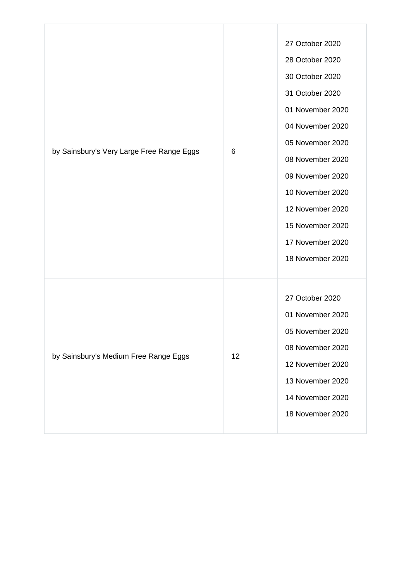| by Sainsbury's Very Large Free Range Eggs | 6  | 27 October 2020<br>28 October 2020<br>30 October 2020<br>31 October 2020<br>01 November 2020<br>04 November 2020<br>05 November 2020<br>08 November 2020<br>09 November 2020<br>10 November 2020<br>12 November 2020<br>15 November 2020<br>17 November 2020<br>18 November 2020 |
|-------------------------------------------|----|----------------------------------------------------------------------------------------------------------------------------------------------------------------------------------------------------------------------------------------------------------------------------------|
| by Sainsbury's Medium Free Range Eggs     | 12 | 27 October 2020<br>01 November 2020<br>05 November 2020<br>08 November 2020<br>12 November 2020<br>13 November 2020<br>14 November 2020<br>18 November 2020                                                                                                                      |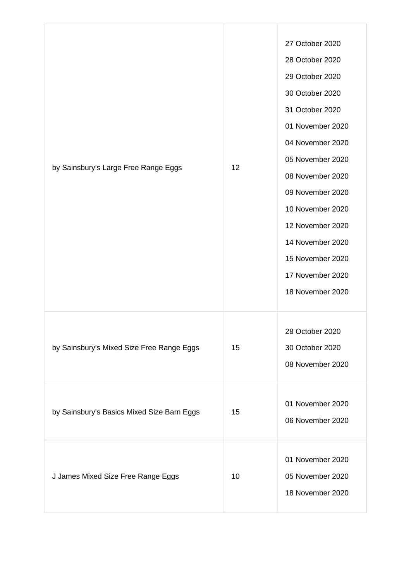| by Sainsbury's Large Free Range Eggs       | 12 | 27 October 2020<br>28 October 2020<br>29 October 2020<br>30 October 2020<br>31 October 2020<br>01 November 2020<br>04 November 2020<br>05 November 2020<br>08 November 2020<br>09 November 2020<br>10 November 2020<br>12 November 2020<br>14 November 2020<br>15 November 2020<br>17 November 2020<br>18 November 2020 |
|--------------------------------------------|----|-------------------------------------------------------------------------------------------------------------------------------------------------------------------------------------------------------------------------------------------------------------------------------------------------------------------------|
| by Sainsbury's Mixed Size Free Range Eggs  | 15 | 28 October 2020<br>30 October 2020<br>08 November 2020                                                                                                                                                                                                                                                                  |
| by Sainsbury's Basics Mixed Size Barn Eggs | 15 | 01 November 2020<br>06 November 2020                                                                                                                                                                                                                                                                                    |
| J James Mixed Size Free Range Eggs         | 10 | 01 November 2020<br>05 November 2020<br>18 November 2020                                                                                                                                                                                                                                                                |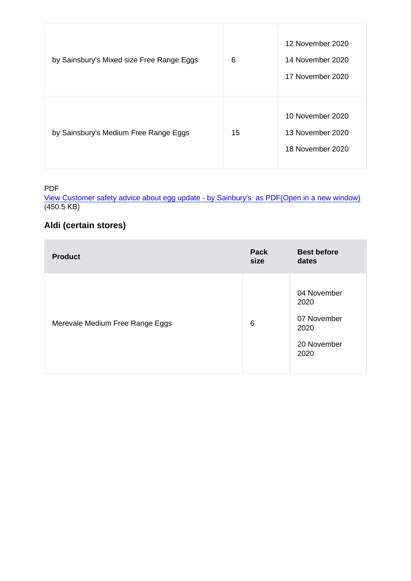| by Sainsbury's Mixed size Free Range Eggs | 6  | 12 November 2020<br>14 November 2020<br>17 November 2020 |
|-------------------------------------------|----|----------------------------------------------------------|
| by Sainsbury's Medium Free Range Eggs     | 15 | 10 November 2020<br>13 November 2020<br>18 November 2020 |

#### PDF

[View Customer safety advice about egg update - by Sainbury's as PDF\(Open in a new window\)](https://www.food.gov.uk/sites/default/files/media/document/customer-safety-advice-by-sainsburys-eggs-update-10-11-20_0.pdf)  $(450.5 KB)$ 

Aldi (certain stores)

| Product                         | Pack<br>size | Best before<br>dates                                              |
|---------------------------------|--------------|-------------------------------------------------------------------|
| Merevale Medium Free Range Eggs | 6            | 04 November<br>2020<br>07 November<br>2020<br>20 November<br>2020 |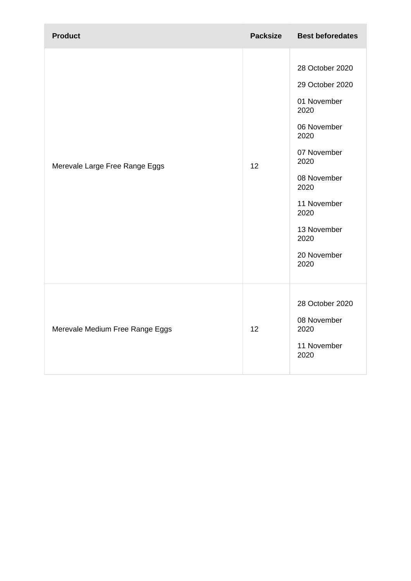| <b>Product</b>                  | <b>Packsize</b> | <b>Best beforedates</b>                                                                                                                                                                             |
|---------------------------------|-----------------|-----------------------------------------------------------------------------------------------------------------------------------------------------------------------------------------------------|
| Merevale Large Free Range Eggs  | 12              | 28 October 2020<br>29 October 2020<br>01 November<br>2020<br>06 November<br>2020<br>07 November<br>2020<br>08 November<br>2020<br>11 November<br>2020<br>13 November<br>2020<br>20 November<br>2020 |
| Merevale Medium Free Range Eggs | 12              | 28 October 2020<br>08 November<br>2020<br>11 November<br>2020                                                                                                                                       |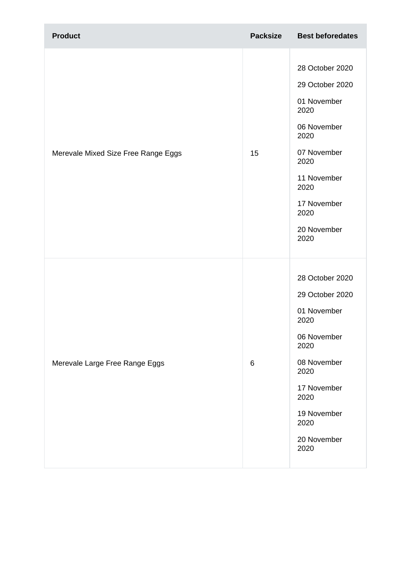| <b>Product</b>                      | <b>Packsize</b> | <b>Best beforedates</b>                                                                                                                                                      |
|-------------------------------------|-----------------|------------------------------------------------------------------------------------------------------------------------------------------------------------------------------|
| Merevale Mixed Size Free Range Eggs | 15              | 28 October 2020<br>29 October 2020<br>01 November<br>2020<br>06 November<br>2020<br>07 November<br>2020<br>11 November<br>2020<br>17 November<br>2020<br>20 November<br>2020 |
| Merevale Large Free Range Eggs      | 6               | 28 October 2020<br>29 October 2020<br>01 November<br>2020<br>06 November<br>2020<br>08 November<br>2020<br>17 November<br>2020<br>19 November<br>2020<br>20 November<br>2020 |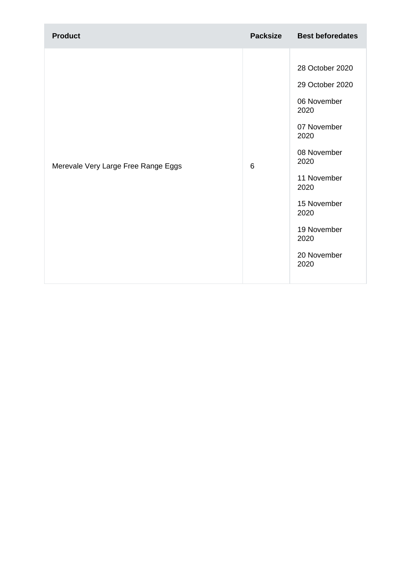| <b>Product</b>                      | <b>Packsize</b> | <b>Best beforedates</b>                                                                                                                                                                             |
|-------------------------------------|-----------------|-----------------------------------------------------------------------------------------------------------------------------------------------------------------------------------------------------|
| Merevale Very Large Free Range Eggs | $\,6$           | 28 October 2020<br>29 October 2020<br>06 November<br>2020<br>07 November<br>2020<br>08 November<br>2020<br>11 November<br>2020<br>15 November<br>2020<br>19 November<br>2020<br>20 November<br>2020 |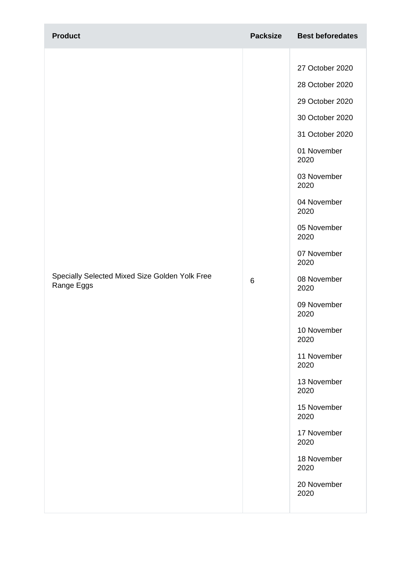| <b>Product</b>                                               | <b>Packsize</b> | <b>Best beforedates</b>                                                                                                                                                                                                                                                                                                                                                                                                       |
|--------------------------------------------------------------|-----------------|-------------------------------------------------------------------------------------------------------------------------------------------------------------------------------------------------------------------------------------------------------------------------------------------------------------------------------------------------------------------------------------------------------------------------------|
| Specially Selected Mixed Size Golden Yolk Free<br>Range Eggs | 6               | 27 October 2020<br>28 October 2020<br>29 October 2020<br>30 October 2020<br>31 October 2020<br>01 November<br>2020<br>03 November<br>2020<br>04 November<br>2020<br>05 November<br>2020<br>07 November<br>2020<br>08 November<br>2020<br>09 November<br>2020<br>10 November<br>2020<br>11 November<br>2020<br>13 November<br>2020<br>15 November<br>2020<br>17 November<br>2020<br>18 November<br>2020<br>20 November<br>2020 |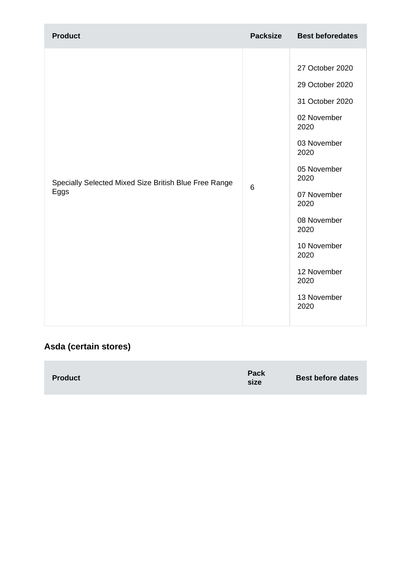| <b>Product</b>                                                | <b>Packsize</b> | <b>Best beforedates</b>                                                                                                                                                                                                                       |
|---------------------------------------------------------------|-----------------|-----------------------------------------------------------------------------------------------------------------------------------------------------------------------------------------------------------------------------------------------|
| Specially Selected Mixed Size British Blue Free Range<br>Eggs | $6\phantom{1}6$ | 27 October 2020<br>29 October 2020<br>31 October 2020<br>02 November<br>2020<br>03 November<br>2020<br>05 November<br>2020<br>07 November<br>2020<br>08 November<br>2020<br>10 November<br>2020<br>12 November<br>2020<br>13 November<br>2020 |

# **Asda (certain stores)**

| <b>Product</b> | Pack<br><b>Best before dates</b><br>size |
|----------------|------------------------------------------|
|----------------|------------------------------------------|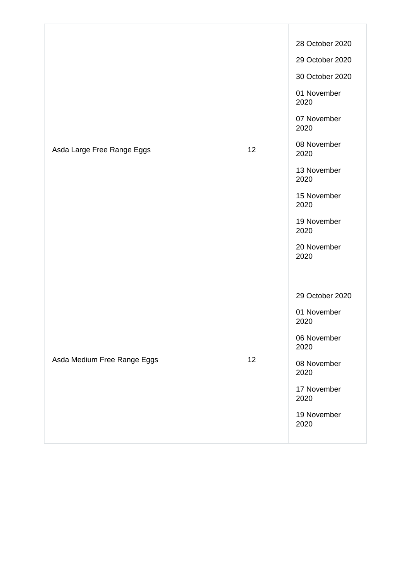| Asda Large Free Range Eggs  | 12 | 28 October 2020<br>29 October 2020<br>30 October 2020<br>01 November<br>2020<br>07 November<br>2020<br>08 November<br>2020<br>13 November<br>2020<br>15 November<br>2020<br>19 November<br>2020<br>20 November<br>2020 |
|-----------------------------|----|------------------------------------------------------------------------------------------------------------------------------------------------------------------------------------------------------------------------|
| Asda Medium Free Range Eggs | 12 | 29 October 2020<br>01 November<br>2020<br>06 November<br>2020<br>08 November<br>2020<br>17 November<br>2020<br>19 November<br>2020                                                                                     |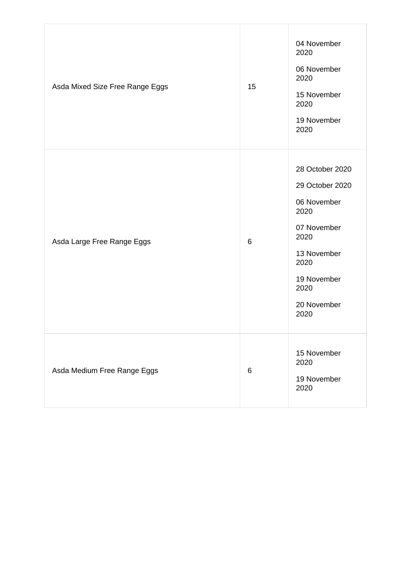| Asda Mixed Size Free Range Eggs | 15 | 04 November<br>2020<br>06 November<br>2020<br>15 November<br>2020<br>19 November<br>2020                                                              |
|---------------------------------|----|-------------------------------------------------------------------------------------------------------------------------------------------------------|
| Asda Large Free Range Eggs      | 6  | 28 October 2020<br>29 October 2020<br>06 November<br>2020<br>07 November<br>2020<br>13 November<br>2020<br>19 November<br>2020<br>20 November<br>2020 |
| Asda Medium Free Range Eggs     | 6  | 15 November<br>2020<br>19 November<br>2020                                                                                                            |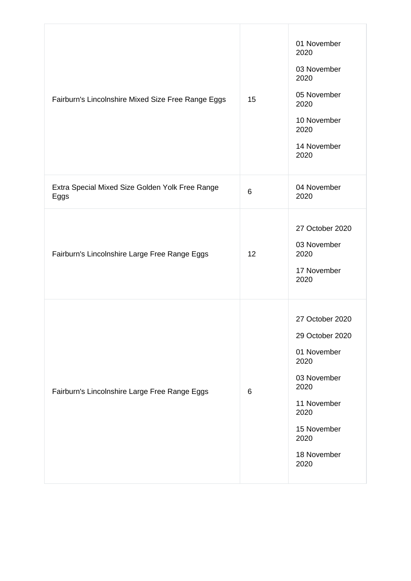| Fairburn's Lincolnshire Mixed Size Free Range Eggs      | 15 | 01 November<br>2020<br>03 November<br>2020<br>05 November<br>2020<br>10 November<br>2020<br>14 November<br>2020                                       |
|---------------------------------------------------------|----|-------------------------------------------------------------------------------------------------------------------------------------------------------|
| Extra Special Mixed Size Golden Yolk Free Range<br>Eggs | 6  | 04 November<br>2020                                                                                                                                   |
| Fairburn's Lincolnshire Large Free Range Eggs           | 12 | 27 October 2020<br>03 November<br>2020<br>17 November<br>2020                                                                                         |
| Fairburn's Lincolnshire Large Free Range Eggs           | 6  | 27 October 2020<br>29 October 2020<br>01 November<br>2020<br>03 November<br>2020<br>11 November<br>2020<br>15 November<br>2020<br>18 November<br>2020 |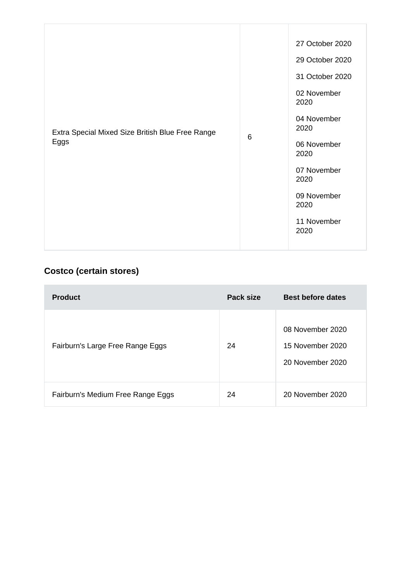### **Costco (certain stores)**

| <b>Product</b>                    | Pack size | <b>Best before dates</b>                                 |
|-----------------------------------|-----------|----------------------------------------------------------|
| Fairburn's Large Free Range Eggs  | 24        | 08 November 2020<br>15 November 2020<br>20 November 2020 |
| Fairburn's Medium Free Range Eggs | 24        | 20 November 2020                                         |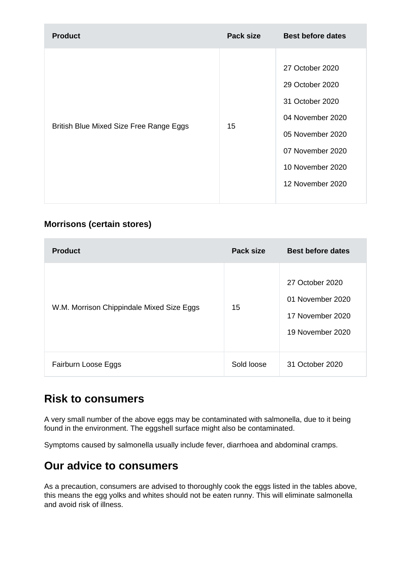| <b>Product</b>                                 | Pack size | <b>Best before dates</b>                                                                                                                                  |
|------------------------------------------------|-----------|-----------------------------------------------------------------------------------------------------------------------------------------------------------|
| <b>British Blue Mixed Size Free Range Eggs</b> | 15        | 27 October 2020<br>29 October 2020<br>31 October 2020<br>04 November 2020<br>05 November 2020<br>07 November 2020<br>10 November 2020<br>12 November 2020 |

#### **Morrisons (certain stores)**

| <b>Product</b>                            | Pack size  | <b>Best before dates</b>                                                    |
|-------------------------------------------|------------|-----------------------------------------------------------------------------|
| W.M. Morrison Chippindale Mixed Size Eggs | 15         | 27 October 2020<br>01 November 2020<br>17 November 2020<br>19 November 2020 |
| Fairburn Loose Eggs                       | Sold loose | 31 October 2020                                                             |

### **Risk to consumers**

A very small number of the above eggs may be contaminated with salmonella, due to it being found in the environment. The eggshell surface might also be contaminated.

Symptoms caused by salmonella usually include fever, diarrhoea and abdominal cramps.

# **Our advice to consumers**

As a precaution, consumers are advised to thoroughly cook the eggs listed in the tables above, this means the egg yolks and whites should not be eaten runny. This will eliminate salmonella and avoid risk of illness.